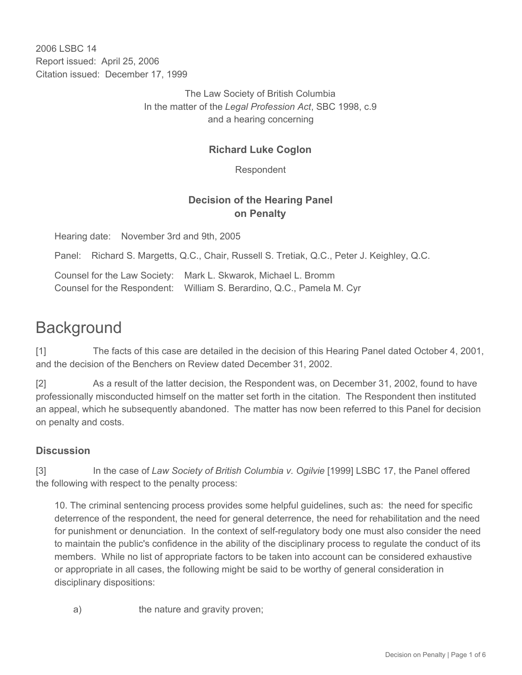2006 LSBC 14 Report issued: April 25, 2006 Citation issued: December 17, 1999

> The Law Society of British Columbia In the matter of the *Legal Profession Act*, SBC 1998, c.9 and a hearing concerning

# **Richard Luke Coglon**

Respondent

## **Decision of the Hearing Panel on Penalty**

Hearing date: November 3rd and 9th, 2005

Panel: Richard S. Margetts, Q.C., Chair, Russell S. Tretiak, Q.C., Peter J. Keighley, Q.C.

Counsel for the Law Society: Mark L. Skwarok, Michael L. Bromm Counsel for the Respondent: William S. Berardino, Q.C., Pamela M. Cyr

# **Background**

[1] The facts of this case are detailed in the decision of this Hearing Panel dated October 4, 2001, and the decision of the Benchers on Review dated December 31, 2002.

[2] As a result of the latter decision, the Respondent was, on December 31, 2002, found to have professionally misconducted himself on the matter set forth in the citation. The Respondent then instituted an appeal, which he subsequently abandoned. The matter has now been referred to this Panel for decision on penalty and costs.

## **Discussion**

[3] In the case of *Law Society of British Columbia v. Ogilvie* [1999] LSBC 17, the Panel offered the following with respect to the penalty process:

10. The criminal sentencing process provides some helpful guidelines, such as: the need for specific deterrence of the respondent, the need for general deterrence, the need for rehabilitation and the need for punishment or denunciation. In the context of self-regulatory body one must also consider the need to maintain the public's confidence in the ability of the disciplinary process to regulate the conduct of its members. While no list of appropriate factors to be taken into account can be considered exhaustive or appropriate in all cases, the following might be said to be worthy of general consideration in disciplinary dispositions:

a) the nature and gravity proven;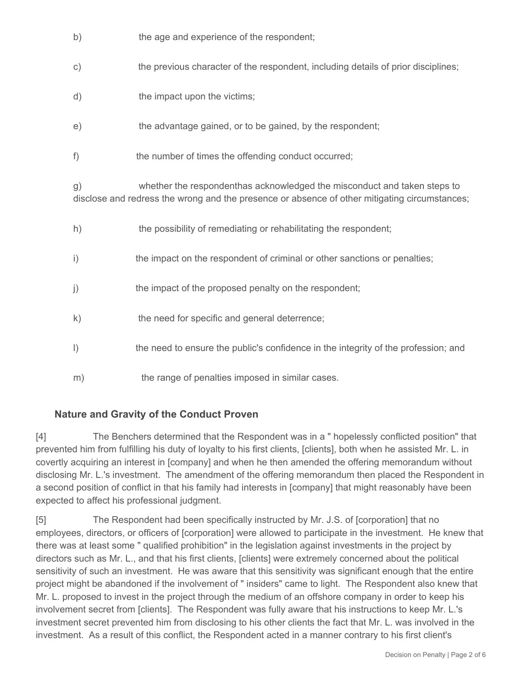| b)             | the age and experience of the respondent;                                                                                                                                 |
|----------------|---------------------------------------------------------------------------------------------------------------------------------------------------------------------------|
| $\mathsf{C}$ ) | the previous character of the respondent, including details of prior disciplines;                                                                                         |
| d)             | the impact upon the victims;                                                                                                                                              |
| e)             | the advantage gained, or to be gained, by the respondent;                                                                                                                 |
| f              | the number of times the offending conduct occurred;                                                                                                                       |
| g)             | whether the respondenthas acknowledged the misconduct and taken steps to<br>disclose and redress the wrong and the presence or absence of other mitigating circumstances; |
| h)             | the possibility of remediating or rehabilitating the respondent;                                                                                                          |
| $\mathbf{i}$   | the impact on the respondent of criminal or other sanctions or penalties;                                                                                                 |
| j)             | the impact of the proposed penalty on the respondent;                                                                                                                     |
| $\mathsf{k}$   | the need for specific and general deterrence;                                                                                                                             |
| $\vert$        | the need to ensure the public's confidence in the integrity of the profession; and                                                                                        |
| m)             | the range of penalties imposed in similar cases.                                                                                                                          |

## **Nature and Gravity of the Conduct Proven**

[4] The Benchers determined that the Respondent was in a " hopelessly conflicted position" that prevented him from fulfilling his duty of loyalty to his first clients, [clients], both when he assisted Mr. L. in covertly acquiring an interest in [company] and when he then amended the offering memorandum without disclosing Mr. L.'s investment. The amendment of the offering memorandum then placed the Respondent in a second position of conflict in that his family had interests in [company] that might reasonably have been expected to affect his professional judgment.

[5] The Respondent had been specifically instructed by Mr. J.S. of [corporation] that no employees, directors, or officers of [corporation] were allowed to participate in the investment. He knew that there was at least some " qualified prohibition" in the legislation against investments in the project by directors such as Mr. L., and that his first clients, [clients] were extremely concerned about the political sensitivity of such an investment. He was aware that this sensitivity was significant enough that the entire project might be abandoned if the involvement of " insiders" came to light. The Respondent also knew that Mr. L. proposed to invest in the project through the medium of an offshore company in order to keep his involvement secret from [clients]. The Respondent was fully aware that his instructions to keep Mr. L.'s investment secret prevented him from disclosing to his other clients the fact that Mr. L. was involved in the investment. As a result of this conflict, the Respondent acted in a manner contrary to his first client's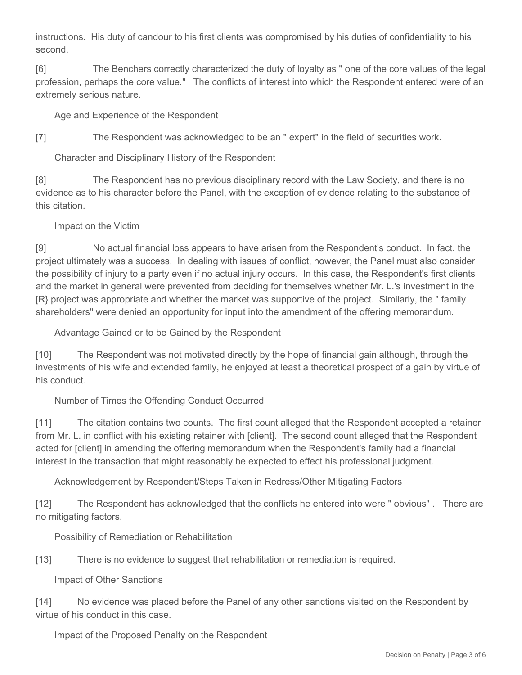instructions. His duty of candour to his first clients was compromised by his duties of confidentiality to his second.

[6] The Benchers correctly characterized the duty of loyalty as " one of the core values of the legal profession, perhaps the core value." The conflicts of interest into which the Respondent entered were of an extremely serious nature.

Age and Experience of the Respondent

[7] The Respondent was acknowledged to be an " expert" in the field of securities work.

Character and Disciplinary History of the Respondent

[8] The Respondent has no previous disciplinary record with the Law Society, and there is no evidence as to his character before the Panel, with the exception of evidence relating to the substance of this citation.

Impact on the Victim

[9] No actual financial loss appears to have arisen from the Respondent's conduct. In fact, the project ultimately was a success. In dealing with issues of conflict, however, the Panel must also consider the possibility of injury to a party even if no actual injury occurs. In this case, the Respondent's first clients and the market in general were prevented from deciding for themselves whether Mr. L.'s investment in the [R} project was appropriate and whether the market was supportive of the project. Similarly, the " family shareholders" were denied an opportunity for input into the amendment of the offering memorandum.

Advantage Gained or to be Gained by the Respondent

[10] The Respondent was not motivated directly by the hope of financial gain although, through the investments of his wife and extended family, he enjoyed at least a theoretical prospect of a gain by virtue of his conduct.

Number of Times the Offending Conduct Occurred

[11] The citation contains two counts. The first count alleged that the Respondent accepted a retainer from Mr. L. in conflict with his existing retainer with [client]. The second count alleged that the Respondent acted for [client] in amending the offering memorandum when the Respondent's family had a financial interest in the transaction that might reasonably be expected to effect his professional judgment.

Acknowledgement by Respondent/Steps Taken in Redress/Other Mitigating Factors

[12] The Respondent has acknowledged that the conflicts he entered into were " obvious" . There are no mitigating factors.

Possibility of Remediation or Rehabilitation

[13] There is no evidence to suggest that rehabilitation or remediation is required.

Impact of Other Sanctions

[14] No evidence was placed before the Panel of any other sanctions visited on the Respondent by virtue of his conduct in this case.

Impact of the Proposed Penalty on the Respondent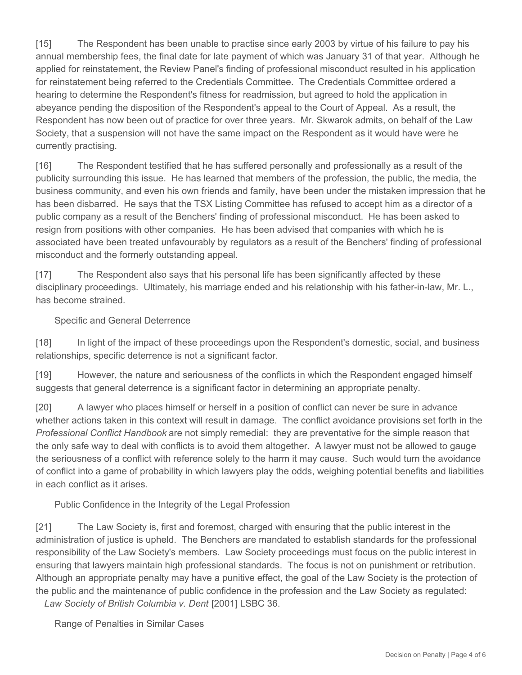[15] The Respondent has been unable to practise since early 2003 by virtue of his failure to pay his annual membership fees, the final date for late payment of which was January 31 of that year. Although he applied for reinstatement, the Review Panel's finding of professional misconduct resulted in his application for reinstatement being referred to the Credentials Committee. The Credentials Committee ordered a hearing to determine the Respondent's fitness for readmission, but agreed to hold the application in abeyance pending the disposition of the Respondent's appeal to the Court of Appeal. As a result, the Respondent has now been out of practice for over three years. Mr. Skwarok admits, on behalf of the Law Society, that a suspension will not have the same impact on the Respondent as it would have were he currently practising.

[16] The Respondent testified that he has suffered personally and professionally as a result of the publicity surrounding this issue. He has learned that members of the profession, the public, the media, the business community, and even his own friends and family, have been under the mistaken impression that he has been disbarred. He says that the TSX Listing Committee has refused to accept him as a director of a public company as a result of the Benchers' finding of professional misconduct. He has been asked to resign from positions with other companies. He has been advised that companies with which he is associated have been treated unfavourably by regulators as a result of the Benchers' finding of professional misconduct and the formerly outstanding appeal.

[17] The Respondent also says that his personal life has been significantly affected by these disciplinary proceedings. Ultimately, his marriage ended and his relationship with his father-in-law, Mr. L., has become strained.

#### Specific and General Deterrence

[18] In light of the impact of these proceedings upon the Respondent's domestic, social, and business relationships, specific deterrence is not a significant factor.

[19] However, the nature and seriousness of the conflicts in which the Respondent engaged himself suggests that general deterrence is a significant factor in determining an appropriate penalty.

[20] A lawyer who places himself or herself in a position of conflict can never be sure in advance whether actions taken in this context will result in damage. The conflict avoidance provisions set forth in the *Professional Conflict Handbook* are not simply remedial: they are preventative for the simple reason that the only safe way to deal with conflicts is to avoid them altogether. A lawyer must not be allowed to gauge the seriousness of a conflict with reference solely to the harm it may cause. Such would turn the avoidance of conflict into a game of probability in which lawyers play the odds, weighing potential benefits and liabilities in each conflict as it arises.

Public Confidence in the Integrity of the Legal Profession

[21] The Law Society is, first and foremost, charged with ensuring that the public interest in the administration of justice is upheld. The Benchers are mandated to establish standards for the professional responsibility of the Law Society's members. Law Society proceedings must focus on the public interest in ensuring that lawyers maintain high professional standards. The focus is not on punishment or retribution. Although an appropriate penalty may have a punitive effect, the goal of the Law Society is the protection of the public and the maintenance of public confidence in the profession and the Law Society as regulated:

*Law Society of British Columbia v. Dent* [2001] LSBC 36.

Range of Penalties in Similar Cases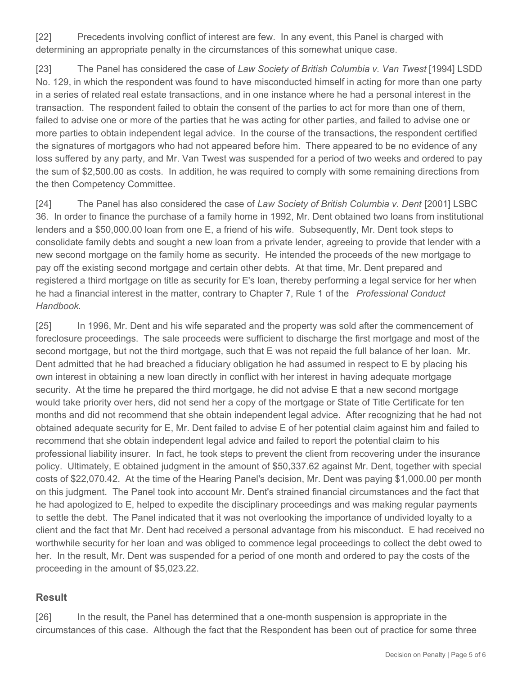[22] Precedents involving conflict of interest are few. In any event, this Panel is charged with determining an appropriate penalty in the circumstances of this somewhat unique case.

[23] The Panel has considered the case of *Law Society of British Columbia v. Van Twest* [1994] LSDD No. 129, in which the respondent was found to have misconducted himself in acting for more than one party in a series of related real estate transactions, and in one instance where he had a personal interest in the transaction. The respondent failed to obtain the consent of the parties to act for more than one of them, failed to advise one or more of the parties that he was acting for other parties, and failed to advise one or more parties to obtain independent legal advice. In the course of the transactions, the respondent certified the signatures of mortgagors who had not appeared before him. There appeared to be no evidence of any loss suffered by any party, and Mr. Van Twest was suspended for a period of two weeks and ordered to pay the sum of \$2,500.00 as costs. In addition, he was required to comply with some remaining directions from the then Competency Committee.

[24] The Panel has also considered the case of *Law Society of British Columbia v. Dent* [2001] LSBC 36. In order to finance the purchase of a family home in 1992, Mr. Dent obtained two loans from institutional lenders and a \$50,000.00 loan from one E, a friend of his wife. Subsequently, Mr. Dent took steps to consolidate family debts and sought a new loan from a private lender, agreeing to provide that lender with a new second mortgage on the family home as security. He intended the proceeds of the new mortgage to pay off the existing second mortgage and certain other debts. At that time, Mr. Dent prepared and registered a third mortgage on title as security for E's loan, thereby performing a legal service for her when he had a financial interest in the matter, contrary to Chapter 7, Rule 1 of the *Professional Conduct Handbook*.

[25] In 1996, Mr. Dent and his wife separated and the property was sold after the commencement of foreclosure proceedings. The sale proceeds were sufficient to discharge the first mortgage and most of the second mortgage, but not the third mortgage, such that E was not repaid the full balance of her loan. Mr. Dent admitted that he had breached a fiduciary obligation he had assumed in respect to E by placing his own interest in obtaining a new loan directly in conflict with her interest in having adequate mortgage security. At the time he prepared the third mortgage, he did not advise E that a new second mortgage would take priority over hers, did not send her a copy of the mortgage or State of Title Certificate for ten months and did not recommend that she obtain independent legal advice. After recognizing that he had not obtained adequate security for E, Mr. Dent failed to advise E of her potential claim against him and failed to recommend that she obtain independent legal advice and failed to report the potential claim to his professional liability insurer. In fact, he took steps to prevent the client from recovering under the insurance policy. Ultimately, E obtained judgment in the amount of \$50,337.62 against Mr. Dent, together with special costs of \$22,070.42. At the time of the Hearing Panel's decision, Mr. Dent was paying \$1,000.00 per month on this judgment. The Panel took into account Mr. Dent's strained financial circumstances and the fact that he had apologized to E, helped to expedite the disciplinary proceedings and was making regular payments to settle the debt. The Panel indicated that it was not overlooking the importance of undivided loyalty to a client and the fact that Mr. Dent had received a personal advantage from his misconduct. E had received no worthwhile security for her loan and was obliged to commence legal proceedings to collect the debt owed to her. In the result, Mr. Dent was suspended for a period of one month and ordered to pay the costs of the proceeding in the amount of \$5,023.22.

#### **Result**

[26] In the result, the Panel has determined that a one-month suspension is appropriate in the circumstances of this case. Although the fact that the Respondent has been out of practice for some three